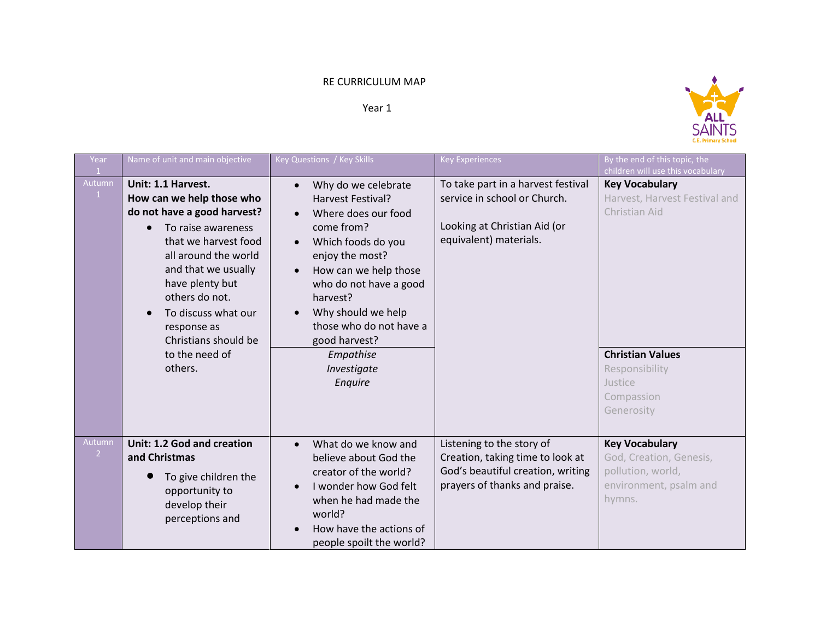## RE CURRICULUM MAP

## Year 1



| Year                     | Name of unit and main objective                                                                                                                                                                                                                                                                                          | Key Questions / Key Skills                                                                                                                                                                                                                                                                                                                                | <b>Key Experiences</b>                                                                                                              | By the end of this topic, the<br>children will use this vocabulary                                                                                          |
|--------------------------|--------------------------------------------------------------------------------------------------------------------------------------------------------------------------------------------------------------------------------------------------------------------------------------------------------------------------|-----------------------------------------------------------------------------------------------------------------------------------------------------------------------------------------------------------------------------------------------------------------------------------------------------------------------------------------------------------|-------------------------------------------------------------------------------------------------------------------------------------|-------------------------------------------------------------------------------------------------------------------------------------------------------------|
| Autumn<br>$\mathbf{1}$   | Unit: 1.1 Harvest.<br>How can we help those who<br>do not have a good harvest?<br>To raise awareness<br>$\bullet$<br>that we harvest food<br>all around the world<br>and that we usually<br>have plenty but<br>others do not.<br>To discuss what our<br>response as<br>Christians should be<br>to the need of<br>others. | Why do we celebrate<br>$\bullet$<br><b>Harvest Festival?</b><br>Where does our food<br>$\bullet$<br>come from?<br>Which foods do you<br>$\bullet$<br>enjoy the most?<br>How can we help those<br>who do not have a good<br>harvest?<br>Why should we help<br>$\bullet$<br>those who do not have a<br>good harvest?<br>Empathise<br>Investigate<br>Enquire | To take part in a harvest festival<br>service in school or Church.<br>Looking at Christian Aid (or<br>equivalent) materials.        | <b>Key Vocabulary</b><br>Harvest, Harvest Festival and<br>Christian Aid<br><b>Christian Values</b><br>Responsibility<br>Justice<br>Compassion<br>Generosity |
| Autumn<br>$\overline{2}$ | Unit: 1.2 God and creation<br>and Christmas<br>To give children the<br>opportunity to<br>develop their<br>perceptions and                                                                                                                                                                                                | What do we know and<br>$\bullet$<br>believe about God the<br>creator of the world?<br>I wonder how God felt<br>when he had made the<br>world?<br>How have the actions of<br>people spoilt the world?                                                                                                                                                      | Listening to the story of<br>Creation, taking time to look at<br>God's beautiful creation, writing<br>prayers of thanks and praise. | <b>Key Vocabulary</b><br>God, Creation, Genesis,<br>pollution, world,<br>environment, psalm and<br>hymns.                                                   |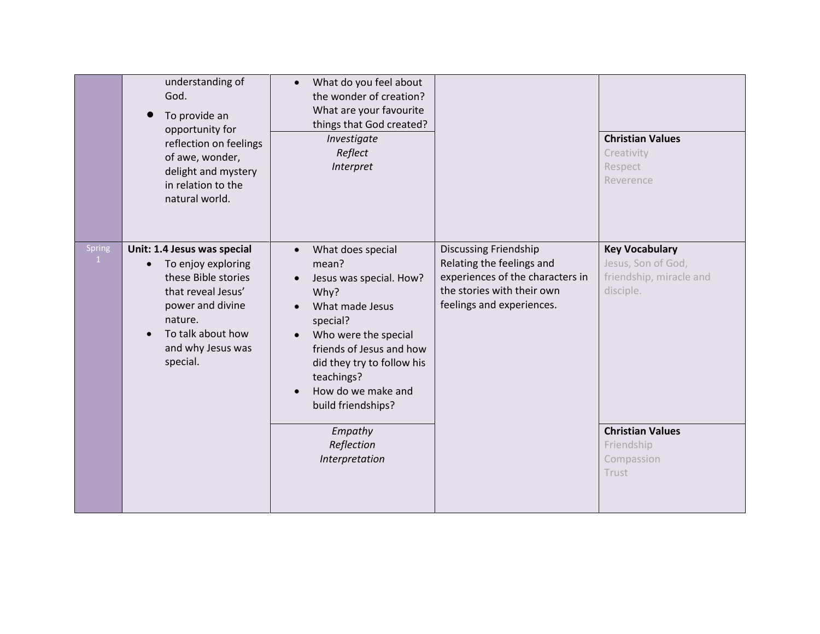|                        | understanding of<br>God.<br>To provide an<br>opportunity for<br>reflection on feelings<br>of awe, wonder,<br>delight and mystery<br>in relation to the<br>natural world.                         | What do you feel about<br>$\bullet$<br>the wonder of creation?<br>What are your favourite<br>things that God created?<br>Investigate<br>Reflect<br>Interpret                                                                                                                                            |                                                                                                                                                          | <b>Christian Values</b><br>Creativity<br>Respect<br>Reverence                                                  |
|------------------------|--------------------------------------------------------------------------------------------------------------------------------------------------------------------------------------------------|---------------------------------------------------------------------------------------------------------------------------------------------------------------------------------------------------------------------------------------------------------------------------------------------------------|----------------------------------------------------------------------------------------------------------------------------------------------------------|----------------------------------------------------------------------------------------------------------------|
| Spring<br>$\mathbf{1}$ | Unit: 1.4 Jesus was special<br>To enjoy exploring<br>$\bullet$<br>these Bible stories<br>that reveal Jesus'<br>power and divine<br>nature.<br>To talk about how<br>and why Jesus was<br>special. | What does special<br>$\bullet$<br>mean?<br>Jesus was special. How?<br>$\bullet$<br>Why?<br>What made Jesus<br>special?<br>Who were the special<br>$\bullet$<br>friends of Jesus and how<br>did they try to follow his<br>teachings?<br>How do we make and<br>$\bullet$<br>build friendships?<br>Empathy | <b>Discussing Friendship</b><br>Relating the feelings and<br>experiences of the characters in<br>the stories with their own<br>feelings and experiences. | <b>Key Vocabulary</b><br>Jesus, Son of God,<br>friendship, miracle and<br>disciple.<br><b>Christian Values</b> |
|                        |                                                                                                                                                                                                  | Reflection<br>Interpretation                                                                                                                                                                                                                                                                            |                                                                                                                                                          | Friendship<br>Compassion<br>Trust                                                                              |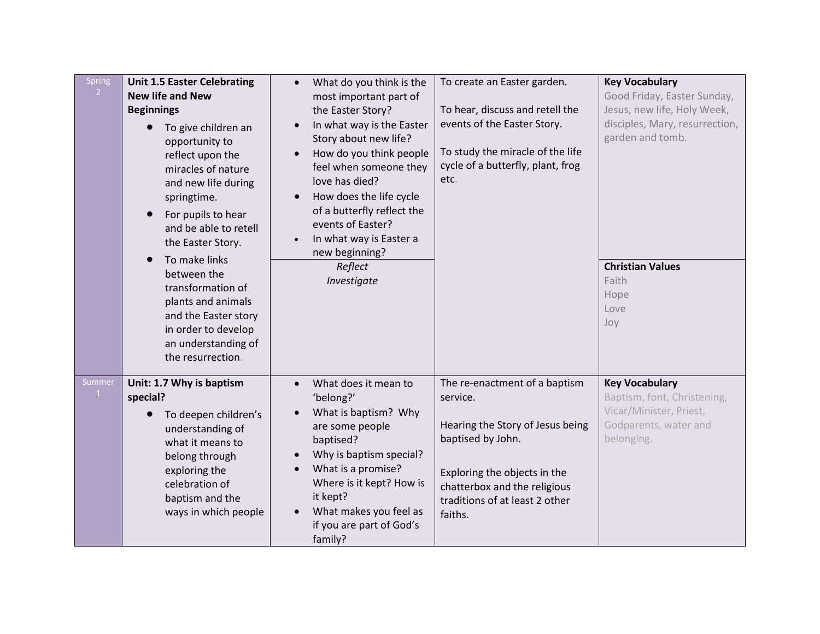| <b>Spring</b><br>2 <sup>1</sup> | <b>Unit 1.5 Easter Celebrating</b><br><b>New life and New</b><br><b>Beginnings</b><br>To give children an<br>$\bullet$<br>opportunity to<br>reflect upon the<br>miracles of nature<br>and new life during<br>springtime.<br>For pupils to hear<br>and be able to retell<br>the Easter Story.<br>To make links<br>$\bullet$<br>between the<br>transformation of<br>plants and animals<br>and the Easter story<br>in order to develop<br>an understanding of<br>the resurrection. | What do you think is the<br>$\bullet$<br>most important part of<br>the Easter Story?<br>In what way is the Easter<br>$\bullet$<br>Story about new life?<br>How do you think people<br>feel when someone they<br>love has died?<br>How does the life cycle<br>$\bullet$<br>of a butterfly reflect the<br>events of Easter?<br>In what way is Easter a<br>$\bullet$<br>new beginning?<br>Reflect<br>Investigate | To create an Easter garden.<br>To hear, discuss and retell the<br>events of the Easter Story.<br>To study the miracle of the life<br>cycle of a butterfly, plant, frog<br>etc.                                  | <b>Key Vocabulary</b><br>Good Friday, Easter Sunday,<br>Jesus, new life, Holy Week,<br>disciples, Mary, resurrection,<br>garden and tomb.<br><b>Christian Values</b><br>Faith<br>Hope<br>Love<br>Joy |
|---------------------------------|---------------------------------------------------------------------------------------------------------------------------------------------------------------------------------------------------------------------------------------------------------------------------------------------------------------------------------------------------------------------------------------------------------------------------------------------------------------------------------|---------------------------------------------------------------------------------------------------------------------------------------------------------------------------------------------------------------------------------------------------------------------------------------------------------------------------------------------------------------------------------------------------------------|-----------------------------------------------------------------------------------------------------------------------------------------------------------------------------------------------------------------|------------------------------------------------------------------------------------------------------------------------------------------------------------------------------------------------------|
| Summer<br>$\mathbf{1}$          | Unit: 1.7 Why is baptism<br>special?<br>To deepen children's<br>$\bullet$<br>understanding of<br>what it means to<br>belong through<br>exploring the<br>celebration of<br>baptism and the<br>ways in which people                                                                                                                                                                                                                                                               | What does it mean to<br>'belong?'<br>What is baptism? Why<br>are some people<br>baptised?<br>Why is baptism special?<br>$\bullet$<br>What is a promise?<br>Where is it kept? How is<br>it kept?<br>What makes you feel as<br>if you are part of God's<br>family?                                                                                                                                              | The re-enactment of a baptism<br>service.<br>Hearing the Story of Jesus being<br>baptised by John.<br>Exploring the objects in the<br>chatterbox and the religious<br>traditions of at least 2 other<br>faiths. | <b>Key Vocabulary</b><br>Baptism, font, Christening,<br>Vicar/Minister, Priest,<br>Godparents, water and<br>belonging.                                                                               |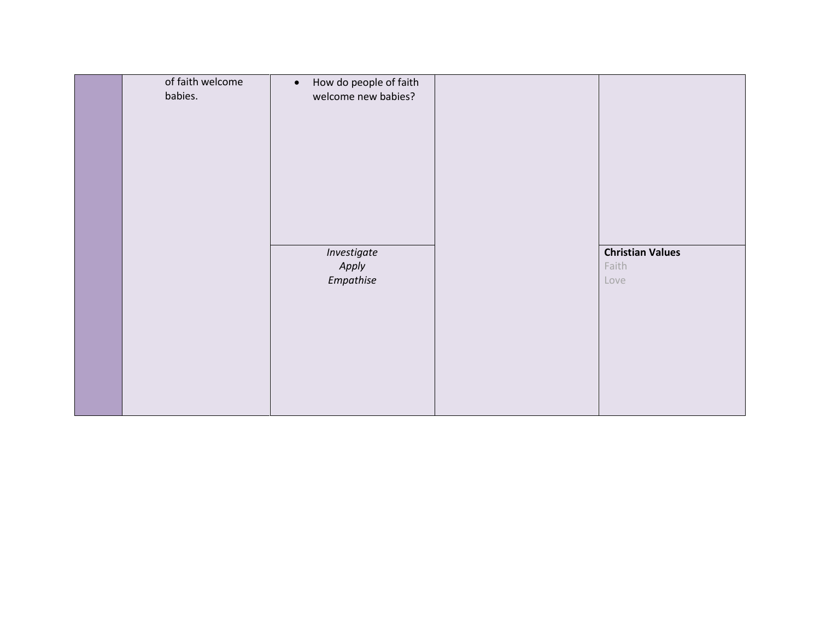| of faith welcome<br>babies. | How do people of faith<br>$\bullet$<br>welcome new babies? |                                          |
|-----------------------------|------------------------------------------------------------|------------------------------------------|
|                             | Investigate<br>Apply<br>Empathise                          | <b>Christian Values</b><br>Faith<br>Love |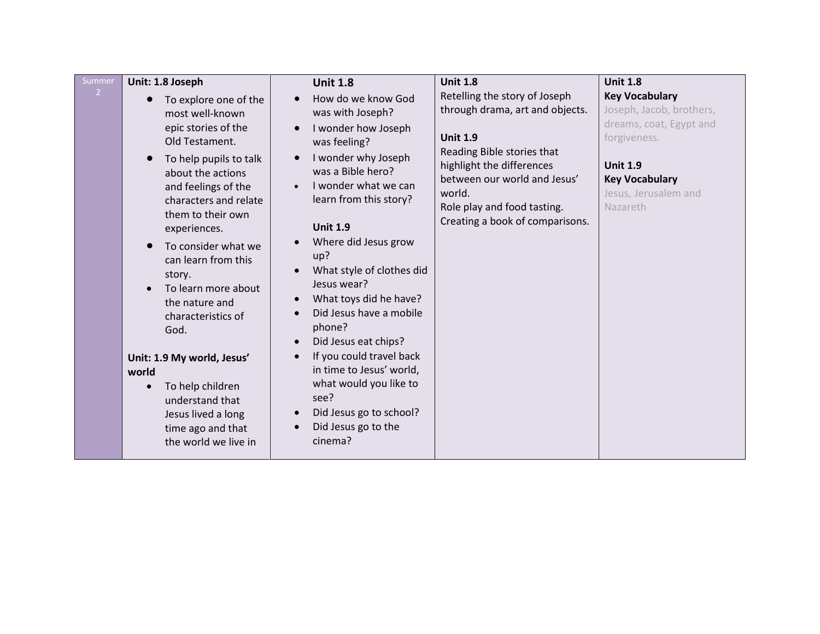| Summer<br>2 | Unit: 1.8 Joseph<br>To explore one of the<br>$\bullet$<br>most well-known<br>epic stories of the<br>Old Testament.<br>To help pupils to talk<br>about the actions<br>and feelings of the<br>characters and relate<br>them to their own<br>experiences.<br>To consider what we<br>can learn from this<br>story.<br>To learn more about | <b>Unit 1.8</b><br>How do we know God<br>$\bullet$<br>was with Joseph?<br>I wonder how Joseph<br>$\bullet$<br>was feeling?<br>I wonder why Joseph<br>$\bullet$<br>was a Bible hero?<br>I wonder what we can<br>learn from this story?<br><b>Unit 1.9</b><br>Where did Jesus grow<br>$\bullet$<br>up?<br>What style of clothes did<br>$\bullet$<br>Jesus wear?<br>What toys did he have?<br>$\bullet$ | <b>Unit 1.8</b><br>Retelling the story of Joseph<br>through drama, art and objects.<br><b>Unit 1.9</b><br>Reading Bible stories that<br>highlight the differences<br>between our world and Jesus'<br>world.<br>Role play and food tasting. | <b>Unit 1.8</b><br><b>Key Vocabulary</b><br>Joseph, Jacob, brothers,<br>dreams, coat, Egypt and<br>forgiveness.<br><b>Unit 1.9</b><br><b>Key Vocabulary</b><br>Jesus, Jerusalem and<br>Nazareth |
|-------------|---------------------------------------------------------------------------------------------------------------------------------------------------------------------------------------------------------------------------------------------------------------------------------------------------------------------------------------|------------------------------------------------------------------------------------------------------------------------------------------------------------------------------------------------------------------------------------------------------------------------------------------------------------------------------------------------------------------------------------------------------|--------------------------------------------------------------------------------------------------------------------------------------------------------------------------------------------------------------------------------------------|-------------------------------------------------------------------------------------------------------------------------------------------------------------------------------------------------|
|             | the nature and<br>characteristics of                                                                                                                                                                                                                                                                                                  | Did Jesus have a mobile<br>phone?                                                                                                                                                                                                                                                                                                                                                                    | Creating a book of comparisons.                                                                                                                                                                                                            |                                                                                                                                                                                                 |
|             | God.<br>Unit: 1.9 My world, Jesus'<br>world<br>To help children<br>$\bullet$<br>understand that<br>Jesus lived a long<br>time ago and that<br>the world we live in                                                                                                                                                                    | Did Jesus eat chips?<br>$\bullet$<br>If you could travel back<br>$\bullet$<br>in time to Jesus' world,<br>what would you like to<br>see?<br>Did Jesus go to school?<br>$\bullet$<br>Did Jesus go to the<br>cinema?                                                                                                                                                                                   |                                                                                                                                                                                                                                            |                                                                                                                                                                                                 |